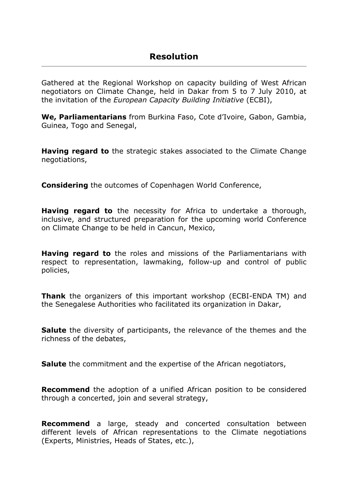Gathered at the Regional Workshop on capacity building of West African negotiators on Climate Change, held in Dakar from 5 to 7 July 2010, at the invitation of the *European Capacity Building Initiative* (ECBI),

**We, Parliamentarians** from Burkina Faso, Cote d'Ivoire, Gabon, Gambia, Guinea, Togo and Senegal,

**Having regard to** the strategic stakes associated to the Climate Change negotiations,

**Considering** the outcomes of Copenhagen World Conference,

**Having regard to** the necessity for Africa to undertake a thorough, inclusive, and structured preparation for the upcoming world Conference on Climate Change to be held in Cancun, Mexico,

**Having regard to** the roles and missions of the Parliamentarians with respect to representation, lawmaking, follow-up and control of public policies,

**Thank** the organizers of this important workshop (ECBI-ENDA TM) and the Senegalese Authorities who facilitated its organization in Dakar,

**Salute** the diversity of participants, the relevance of the themes and the richness of the debates,

**Salute** the commitment and the expertise of the African negotiators,

**Recommend** the adoption of a unified African position to be considered through a concerted, join and several strategy,

**Recommend** a large, steady and concerted consultation between different levels of African representations to the Climate negotiations (Experts, Ministries, Heads of States, etc.),